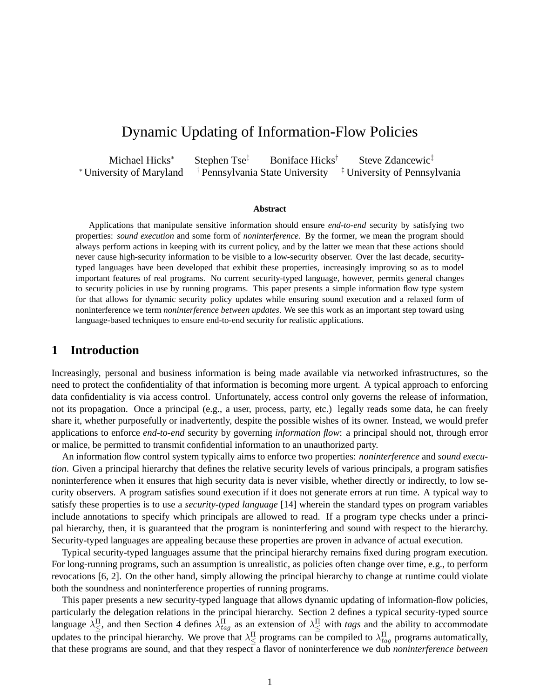# Dynamic Updating of Information-Flow Policies

Michael Hicks<sup>∗</sup> Stephen Tse<sup>‡</sup> Boniface Hicks<sup>†</sup> Steve Zdancewic<sup>‡</sup> <sup>∗</sup> University of Maryland † Pennsylvania State University ‡ University of Pennsylvania

#### **Abstract**

Applications that manipulate sensitive information should ensure *end-to-end* security by satisfying two properties: *sound execution* and some form of *noninterference*. By the former, we mean the program should always perform actions in keeping with its current policy, and by the latter we mean that these actions should never cause high-security information to be visible to a low-security observer. Over the last decade, securitytyped languages have been developed that exhibit these properties, increasingly improving so as to model important features of real programs. No current security-typed language, however, permits general changes to security policies in use by running programs. This paper presents a simple information flow type system for that allows for dynamic security policy updates while ensuring sound execution and a relaxed form of noninterference we term *noninterference between updates*. We see this work as an important step toward using language-based techniques to ensure end-to-end security for realistic applications.

## **1 Introduction**

Increasingly, personal and business information is being made available via networked infrastructures, so the need to protect the confidentiality of that information is becoming more urgent. A typical approach to enforcing data confidentiality is via access control. Unfortunately, access control only governs the release of information, not its propagation. Once a principal (e.g., a user, process, party, etc.) legally reads some data, he can freely share it, whether purposefully or inadvertently, despite the possible wishes of its owner. Instead, we would prefer applications to enforce *end-to-end* security by governing *information flow*: a principal should not, through error or malice, be permitted to transmit confidential information to an unauthorized party.

An information flow control system typically aims to enforce two properties: *noninterference* and *sound execution*. Given a principal hierarchy that defines the relative security levels of various principals, a program satisfies noninterference when it ensures that high security data is never visible, whether directly or indirectly, to low security observers. A program satisfies sound execution if it does not generate errors at run time. A typical way to satisfy these properties is to use a *security-typed language* [14] wherein the standard types on program variables include annotations to specify which principals are allowed to read. If a program type checks under a principal hierarchy, then, it is guaranteed that the program is noninterfering and sound with respect to the hierarchy. Security-typed languages are appealing because these properties are proven in advance of actual execution.

Typical security-typed languages assume that the principal hierarchy remains fixed during program execution. For long-running programs, such an assumption is unrealistic, as policies often change over time, e.g., to perform revocations [6, 2]. On the other hand, simply allowing the principal hierarchy to change at runtime could violate both the soundness and noninterference properties of running programs.

This paper presents a new security-typed language that allows dynamic updating of information-flow policies, particularly the delegation relations in the principal hierarchy. Section 2 defines a typical security-typed source language  $\lambda \frac{\Pi}{\leq}$ , and then Section 4 defines  $\lambda_{tag}^{\Pi}$  as an extension of  $\lambda \frac{\Pi}{\leq}$  with *tags* and the ability to accommodate updates to the principal hierarchy. We prove that  $\lambda^{\Pi}_{\leq}$  programs can be compiled to  $\lambda^{\Pi}_{tag}$  programs automatically, that these programs are sound, and that they respect a flavor of noninterference we dub *noninterference between*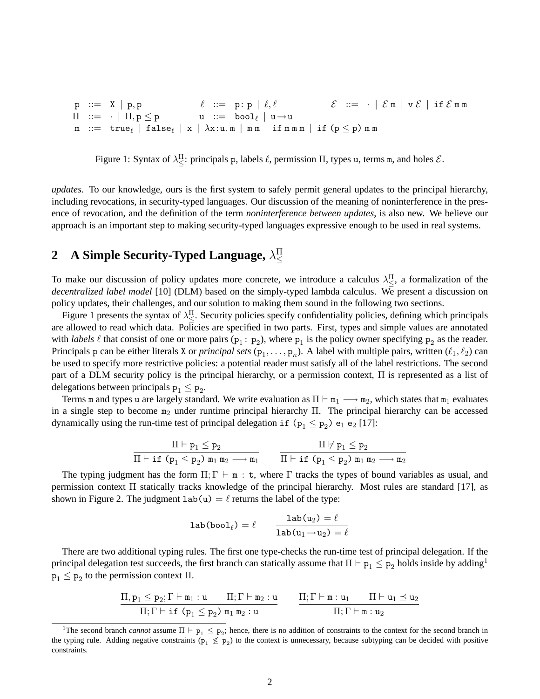$\begin{array}{l} \mathsf{p} \ \ \mathsf{:=}\ \ \ \mathsf{X} \ \ |\ \ \mathsf{p}, \mathsf{p} \end{array} \qquad \qquad \begin{array}{l} \ell \ \ \mathsf{:=}\ \ \ \mathsf{p}: \mathsf{p} \ \ |\ \ \ell, \ell \end{array} \qquad \qquad \begin{array}{l} \mathcal{E} \ \ \mathsf{:=}\ \ \ \cdot \ \ |\ \ \mathcal{E}\, \mathfrak{m} \ \ |\ \ \mathsf{v}\, \mathcal{E} \ \ |\ \ \mathsf{if}\, \ \mathcal{E}\, \mathfrak{m}\, \mathfrak{m} \end{array}$  $\Pi$  ::=  $\cdot$   $\mid$   $\Pi,$   $p$   $\le$   $p$   $\qquad \quad u$  ::= bool $_{\ell}$   $\mid$   $u$   $\rightarrow$   $u$  ${\tt m}$  ::= true $_\ell$  | false $_\ell$  | x |  $\lambda {\tt x}$ :u.m |  ${\tt mm}$  | if  ${\tt m}$ m | if ( ${\tt p}\leq {\tt p}$ )  ${\tt m}$  m

Figure 1: Syntax of  $\lambda_{\leq}^{\Pi}$ : principals p, labels  $\ell$ , permission  $\Pi$ , types u, terms m, and holes  $\mathcal{E}$ .

*updates*. To our knowledge, ours is the first system to safely permit general updates to the principal hierarchy, including revocations, in security-typed languages. Our discussion of the meaning of noninterference in the presence of revocation, and the definition of the term *noninterference between updates*, is also new. We believe our approach is an important step to making security-typed languages expressive enough to be used in real systems.

#### **2 A Simple Security-Typed Language,**  $\lambda$ ≤

To make our discussion of policy updates more concrete, we introduce a calculus  $\lambda_{\leq}^{\Pi}$ , a formalization of the *decentralized label model* [10] (DLM) based on the simply-typed lambda calculus. We present a discussion on policy updates, their challenges, and our solution to making them sound in the following two sections.

Figure 1 presents the syntax of  $\lambda_{\leq}^{\Pi}$ . Security policies specify confidentiality policies, defining which principals are allowed to read which data. Policies are specified in two parts. First, types and simple values are annotated with *labels*  $\ell$  that consist of one or more pairs ( $p_1 : p_2$ ), where  $p_1$  is the policy owner specifying  $p_2$  as the reader. Principals p can be either literals X or *principal sets*  $(p_1, \ldots, p_n)$ . A label with multiple pairs, written  $(\ell_1, \ell_2)$  can be used to specify more restrictive policies: a potential reader must satisfy all of the label restrictions. The second part of a DLM security policy is the principal hierarchy, or a permission context, Π is represented as a list of delegations between principals  $p_1 \leq p_2$ .

Terms m and types u are largely standard. We write evaluation as  $\Pi \vdash m_1 \longrightarrow m_2$ , which states that  $m_1$  evaluates in a single step to become  $m_2$  under runtime principal hierarchy Π. The principal hierarchy can be accessed dynamically using the run-time test of principal delegation if  $(p_1 \leq p_2)$  e<sub>1</sub> e<sub>2</sub> [17]:

$$
\dfrac{\Pi\vdash p_1\leq p_2}{\Pi\vdash \texttt{if }(p_1\leq p_2)\texttt{ }m_1\texttt{ }m_2\longrightarrow m_1} \qquad \dfrac{\Pi\texttt{ }\forall\texttt{ }p_1\leq p_2}{\Pi\vdash \texttt{if }(p_1\leq p_2)\texttt{ }m_1\texttt{ }m_2\longrightarrow m_2}
$$

The typing judgment has the form  $\Pi$ ; Γ  $\vdash$  m : t, where Γ tracks the types of bound variables as usual, and permission context Π statically tracks knowledge of the principal hierarchy. Most rules are standard [17], as shown in Figure 2. The judgment  $lab(u) = l$  returns the label of the type:

$$
\mathtt{lab}(\mathtt{bool}_\ell) = \ell \qquad \frac{\mathtt{lab}(u_2) = \ell}{\mathtt{lab}(u_1 \rightarrow u_2) = \ell}
$$

There are two additional typing rules. The first one type-checks the run-time test of principal delegation. If the principal delegation test succeeds, the first branch can statically assume that  $\Pi\vdash p_1\leq p_2$  holds inside by adding<sup>1</sup>  $p_1 \leq p_2$  to the permission context  $\Pi$ .

$$
\frac{\Pi, p_1 \leq p_2; \Gamma \vdash \mathtt{m}_1 : \mathtt{u} \qquad \Pi; \Gamma \vdash \mathtt{m}_2 : \mathtt{u}}{\Pi; \Gamma \vdash \mathtt{i} \mathsf{f} \ (p_1 \leq p_2) \ \mathtt{m}_1 \ \mathtt{m}_2 : \mathtt{u}} \qquad \frac{\Pi; \Gamma \vdash \mathtt{m} : \mathtt{u}_1 \qquad \Pi \vdash \mathtt{u}_1 \preceq \mathtt{u}_2}{\Pi; \Gamma \vdash \mathtt{m} : \mathtt{u}_2}
$$

<sup>&</sup>lt;sup>1</sup>The second branch *cannot* assume  $\Pi \vdash p_1 \leq p_2$ ; hence, there is no addition of constraints to the context for the second branch in the typing rule. Adding negative constraints ( $p_1 \not\leq p_2$ ) to the context is unnecessary, because subtyping can be decided with positive constraints.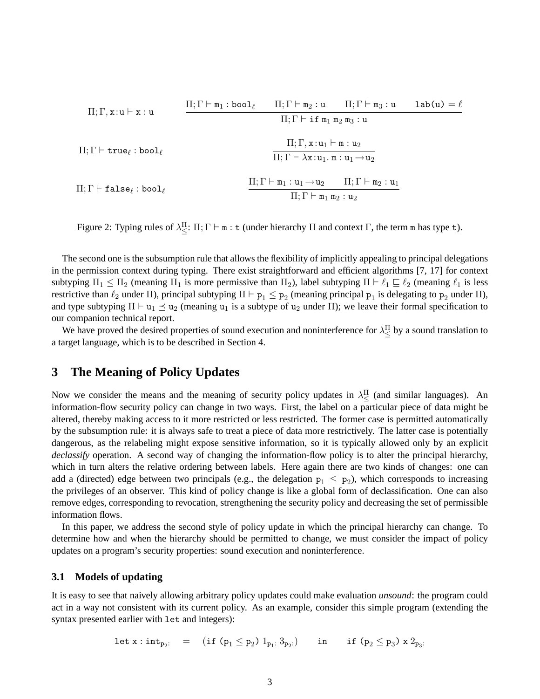$$
\Pi; \Gamma, x:u \vdash x:u \qquad \frac{\Pi; \Gamma \vdash \mathfrak{m}_1: \text{bool}_{\ell} \qquad \Pi; \Gamma \vdash \mathfrak{m}_2:u \qquad \Pi; \Gamma \vdash \mathfrak{m}_3:u \qquad \text{lab}(u) = \ell}{\Pi; \Gamma \vdash \text{if } \mathfrak{m}_1 \mathfrak{m}_2 \mathfrak{m}_3:u}
$$
\n
$$
\Pi; \Gamma \vdash \text{true}_{\ell}: \text{bool}_{\ell} \qquad \qquad \frac{\Pi; \Gamma, x:u_1 \vdash \mathfrak{m}:u_2}{\Pi; \Gamma \vdash \lambda x:u_1.\mathfrak{m}:u_1 \rightarrow u_2}
$$
\n
$$
\Pi; \Gamma \vdash \text{false}_{\ell}: \text{bool}_{\ell} \qquad \qquad \frac{\Pi; \Gamma \vdash \mathfrak{m}_1:u_1 \rightarrow u_2 \qquad \Pi; \Gamma \vdash \mathfrak{m}_2:u_1}{\Pi; \Gamma \vdash \mathfrak{m}_1 \mathfrak{m}_2:u_2}
$$

Figure 2: Typing rules of  $\lambda_{\leq}^{\Pi}$ :  $\Pi$ ;  $\Gamma \vdash m$ : t (under hierarchy  $\Pi$  and context  $\Gamma$ , the term m has type t).

The second one is the subsumption rule that allows the flexibility of implicitly appealing to principal delegations in the permission context during typing. There exist straightforward and efficient algorithms [7, 17] for context subtyping  $\Pi_1 \leq \Pi_2$  (meaning  $\Pi_1$  is more permissive than  $\Pi_2$ ), label subtyping  $\Pi \vdash \ell_1 \sqsubseteq \ell_2$  (meaning  $\ell_1$  is less restrictive than  $\ell_2$  under  $\Pi$ ), principal subtyping  $\Pi \vdash p_1 \leq p_2$  (meaning principal  $p_1$  is delegating to  $p_2$  under  $\Pi$ ), and type subtyping  $\Pi \vdash u_1 \preceq u_2$  (meaning  $u_1$  is a subtype of  $u_2$  under  $\Pi$ ); we leave their formal specification to our companion technical report.

We have proved the desired properties of sound execution and noninterference for  $\lambda \leq$  by a sound translation to a target language, which is to be described in Section 4.

## **3 The Meaning of Policy Updates**

Now we consider the means and the meaning of security policy updates in  $\lambda \leq \leq 1$  (and similar languages). An information-flow security policy can change in two ways. First, the label on a particular piece of data might be altered, thereby making access to it more restricted or less restricted. The former case is permitted automatically by the subsumption rule: it is always safe to treat a piece of data more restrictively. The latter case is potentially dangerous, as the relabeling might expose sensitive information, so it is typically allowed only by an explicit *declassify* operation. A second way of changing the information-flow policy is to alter the principal hierarchy, which in turn alters the relative ordering between labels. Here again there are two kinds of changes: one can add a (directed) edge between two principals (e.g., the delegation  $p_1 \leq p_2$ ), which corresponds to increasing the privileges of an observer. This kind of policy change is like a global form of declassification. One can also remove edges, corresponding to revocation, strengthening the security policy and decreasing the set of permissible information flows.

In this paper, we address the second style of policy update in which the principal hierarchy can change. To determine how and when the hierarchy should be permitted to change, we must consider the impact of policy updates on a program's security properties: sound execution and noninterference.

### **3.1 Models of updating**

It is easy to see that naively allowing arbitrary policy updates could make evaluation *unsound*: the program could act in a way not consistent with its current policy. As an example, consider this simple program (extending the syntax presented earlier with let and integers):

$$
\mathtt{let}\ x:\mathtt{int}_{p_2:}\quad = \quad (\mathtt{if}\ (p_1\leq p_2)\ 1_{p_1:}\ 3_{p_2:})\qquad \mathtt{in}\qquad \mathtt{if}\ (p_2\leq p_3)\ x\ 2_{p_3:}
$$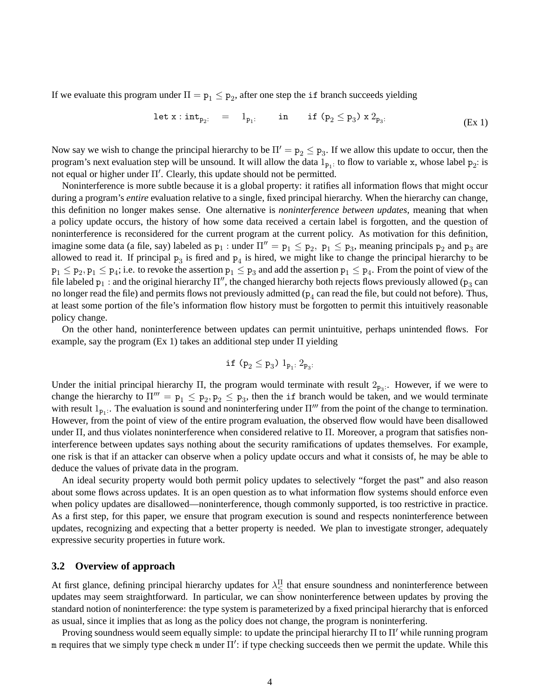If we evaluate this program under  $\Pi = \mathbf{p}_1 \leq \mathbf{p}_2$ , after one step the if branch succeeds yielding

$$
let x: int_{p_2}: = 1_{p_1}: in if (p_2 \le p_3) x 2_{p_3}: (Ex 1)
$$

Now say we wish to change the principal hierarchy to be  $\Pi' = p_2 \leq p_3$ . If we allow this update to occur, then the program's next evaluation step will be unsound. It will allow the data  $1_{p_1}$ : to flow to variable x, whose label  $p_2$ : is not equal or higher under  $\Pi'$ . Clearly, this update should not be permitted.

Noninterference is more subtle because it is a global property: it ratifies all information flows that might occur during a program's *entire* evaluation relative to a single, fixed principal hierarchy. When the hierarchy can change, this definition no longer makes sense. One alternative is *noninterference between updates*, meaning that when a policy update occurs, the history of how some data received a certain label is forgotten, and the question of noninterference is reconsidered for the current program at the current policy. As motivation for this definition, imagine some data (a file, say) labeled as  $p_1$ : under  $\Pi'' = p_1 \le p_2$ ,  $p_1 \le p_3$ , meaning principals  $p_2$  and  $p_3$  are allowed to read it. If principal  $p_3$  is fired and  $p_4$  is hired, we might like to change the principal hierarchy to be  $p_1 \le p_2, p_1 \le p_4$ ; i.e. to revoke the assertion  $p_1 \le p_3$  and add the assertion  $p_1 \le p_4$ . From the point of view of the file labeled  $p_1$ : and the original hierarchy  $\Pi''$ , the changed hierarchy both rejects flows previously allowed ( $p_3$  can no longer read the file) and permits flows not previously admitted ( $p_4$  can read the file, but could not before). Thus, at least some portion of the file's information flow history must be forgotten to permit this intuitively reasonable policy change.

On the other hand, noninterference between updates can permit unintuitive, perhaps unintended flows. For example, say the program (Ex 1) takes an additional step under Π yielding

$$
\mathtt{if}\ (p_2 \leq p_3)\ 1_{p_1:}\ 2_{p_3:}
$$

Under the initial principal hierarchy  $\Pi$ , the program would terminate with result  $2_{p_3}$ . However, if we were to change the hierarchy to  $\Pi''' = p_1 \leq p_2, p_2 \leq p_3$ , then the if branch would be taken, and we would terminate with result  $1_{p_1}$ . The evaluation is sound and noninterfering under  $\Pi'''$  from the point of the change to termination. However, from the point of view of the entire program evaluation, the observed flow would have been disallowed under Π, and thus violates noninterference when considered relative to Π. Moreover, a program that satisfies noninterference between updates says nothing about the security ramifications of updates themselves. For example, one risk is that if an attacker can observe when a policy update occurs and what it consists of, he may be able to deduce the values of private data in the program.

An ideal security property would both permit policy updates to selectively "forget the past" and also reason about some flows across updates. It is an open question as to what information flow systems should enforce even when policy updates are disallowed—noninterference, though commonly supported, is too restrictive in practice. As a first step, for this paper, we ensure that program execution is sound and respects noninterference between updates, recognizing and expecting that a better property is needed. We plan to investigate stronger, adequately expressive security properties in future work.

### **3.2 Overview of approach**

At first glance, defining principal hierarchy updates for  $\lambda \leq$  that ensure soundness and noninterference between updates may seem straightforward. In particular, we can show noninterference between updates by proving the standard notion of noninterference: the type system is parameterized by a fixed principal hierarchy that is enforced as usual, since it implies that as long as the policy does not change, the program is noninterfering.

Proving soundness would seem equally simple: to update the principal hierarchy  $\Pi$  to  $\Pi'$  while running program m requires that we simply type check m under  $\Pi'$ : if type checking succeeds then we permit the update. While this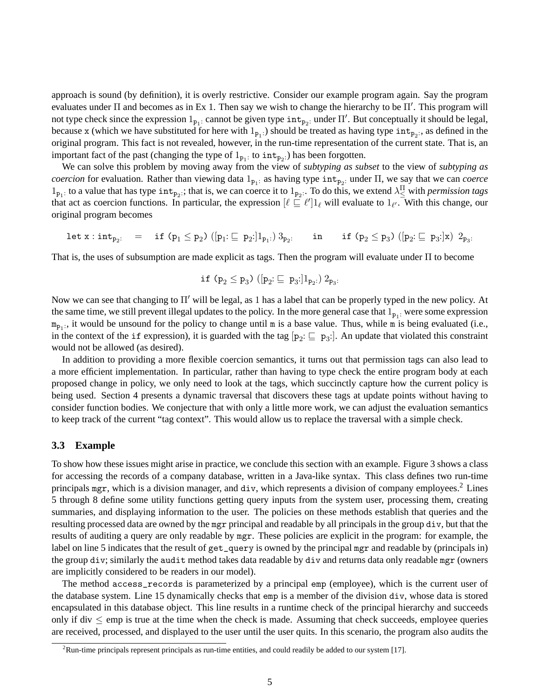approach is sound (by definition), it is overly restrictive. Consider our example program again. Say the program evaluates under  $\Pi$  and becomes as in Ex 1. Then say we wish to change the hierarchy to be  $\Pi'$ . This program will not type check since the expression  $1_{p_1}$ : cannot be given type  $int_{p_2}$ : under  $\Pi'$ . But conceptually it should be legal, because x (which we have substituted for here with  $1_{p_1}$ ) should be treated as having type  $int_{p_2}$ , as defined in the original program. This fact is not revealed, however, in the run-time representation of the current state. That is, an important fact of the past (changing the type of  $1_{p_1}$ : to  $int_{p_2}$ .) has been forgotten.

We can solve this problem by moving away from the view of *subtyping as subset* to the view of *subtyping as coercion* for evaluation. Rather than viewing data  $1_{p_1}$  as having type  $int_{p_2}$  under  $\Pi$ , we say that we can *coerce*  $1_{p_1}$ : to a value that has type  $int_{p_2}$ :; that is, we can coerce it to  $1_{p_2}$ . To do this, we extend  $\lambda \frac{\Pi}{\leq}$  with *permission tags* that act as coercion functions. In particular, the expression  $[\ell \subseteq \ell']1_\ell$  will evaluate to  $1_{\ell'}$ . With this change, our original program becomes

$$
\mathtt{let}\ x:\mathtt{int}_{p_2:}\quad = \quad \mathtt{if}\ (p_1\leq p_2)\ ([p_1:\sqsubseteq\ p_2:]1_{p_1:})\ 3_{p_2:}\qquad \mathtt{in}\qquad \mathtt{if}\ (p_2\leq p_3)\ ([p_2:\sqsubseteq\ p_3:]x)\ 2_{p_3:}
$$

That is, the uses of subsumption are made explicit as tags. Then the program will evaluate under Π to become

$$
\mathtt{if} \ (p_2 \leq p_3) \ ([p_2: \sqsubseteq p_3:]1_{p_2:}) \ 2_{p_3:}
$$

Now we can see that changing to  $\Pi'$  will be legal, as 1 has a label that can be properly typed in the new policy. At the same time, we still prevent illegal updates to the policy. In the more general case that  $1_{p_1}$ : were some expression  $m_{p_1}$ , it would be unsound for the policy to change until m is a base value. Thus, while m is being evaluated (i.e., in the context of the if expression), it is guarded with the tag  $[p_2: \underline{\sqsubseteq} p_3]$ . An update that violated this constraint would not be allowed (as desired).

In addition to providing a more flexible coercion semantics, it turns out that permission tags can also lead to a more efficient implementation. In particular, rather than having to type check the entire program body at each proposed change in policy, we only need to look at the tags, which succinctly capture how the current policy is being used. Section 4 presents a dynamic traversal that discovers these tags at update points without having to consider function bodies. We conjecture that with only a little more work, we can adjust the evaluation semantics to keep track of the current "tag context". This would allow us to replace the traversal with a simple check.

#### **3.3 Example**

To show how these issues might arise in practice, we conclude this section with an example. Figure 3 shows a class for accessing the records of a company database, written in a Java-like syntax. This class defines two run-time principals mgr, which is a division manager, and div, which represents a division of company employees.<sup>2</sup> Lines 5 through 8 define some utility functions getting query inputs from the system user, processing them, creating summaries, and displaying information to the user. The policies on these methods establish that queries and the resulting processed data are owned by the mgr principal and readable by all principals in the group div, but that the results of auditing a query are only readable by mgr. These policies are explicit in the program: for example, the label on line 5 indicates that the result of get\_query is owned by the principal mgr and readable by (principals in) the group div; similarly the audit method takes data readable by div and returns data only readable mgr (owners are implicitly considered to be readers in our model).

The method access\_records is parameterized by a principal emp (employee), which is the current user of the database system. Line 15 dynamically checks that emp is a member of the division div, whose data is stored encapsulated in this database object. This line results in a runtime check of the principal hierarchy and succeeds only if div  $\leq$  emp is true at the time when the check is made. Assuming that check succeeds, employee queries are received, processed, and displayed to the user until the user quits. In this scenario, the program also audits the

 ${}^{2}$ Run-time principals represent principals as run-time entities, and could readily be added to our system [17].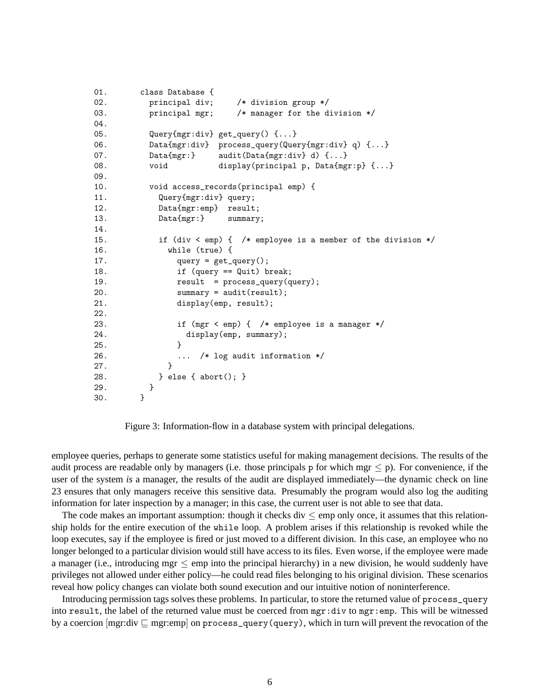```
01. class Database {
02. principal div; /* division group */
03. principal mgr; /* manager for the division */
04.
05. Query{mgr:div} get_query() {...}
06. Data{mgr:div} process_query(Query{mgr:div} q) {...}
07. Data{mgr:} audit(Data{mgr:div} d) {...}
08. void display(principal p, Data{mgr:p} {...}
09.
10. void access_records(principal emp) {
11. Query{mgr:div} query;
12. Data{mgr:emp} result;
13. Data{mgr:} summary;
14.
15. if (div < emp) { /* employee is a member of the division */
16. while (true) {
17. query = get_query();
18. if (query == Quit) break;
19. result = process_query(query);
20. summary = audit(result);
21. display(emp, result);
22.
23. if (mgr < emp) { /* employee is a manager */
24. display(emp, summary);
25. }
26. \ldots /* log audit information */<br>27. \qquad27. }
28. } else { abort(); }
29. }
30. }
```
Figure 3: Information-flow in a database system with principal delegations.

employee queries, perhaps to generate some statistics useful for making management decisions. The results of the audit process are readable only by managers (i.e. those principals p for which mgr  $\leq$  p). For convenience, if the user of the system *is* a manager, the results of the audit are displayed immediately—the dynamic check on line 23 ensures that only managers receive this sensitive data. Presumably the program would also log the auditing information for later inspection by a manager; in this case, the current user is not able to see that data.

The code makes an important assumption: though it checks div  $\leq$  emp only once, it assumes that this relationship holds for the entire execution of the while loop. A problem arises if this relationship is revoked while the loop executes, say if the employee is fired or just moved to a different division. In this case, an employee who no longer belonged to a particular division would still have access to its files. Even worse, if the employee were made a manager (i.e., introducing mgr  $\leq$  emp into the principal hierarchy) in a new division, he would suddenly have privileges not allowed under either policy—he could read files belonging to his original division. These scenarios reveal how policy changes can violate both sound execution and our intuitive notion of noninterference.

Introducing permission tags solves these problems. In particular, to store the returned value of process\_query into result, the label of the returned value must be coerced from mgr:div to mgr:emp. This will be witnessed by a coercion  $[mgr:div] \subseteq mgr:emp]$  on process\_query(query), which in turn will prevent the revocation of the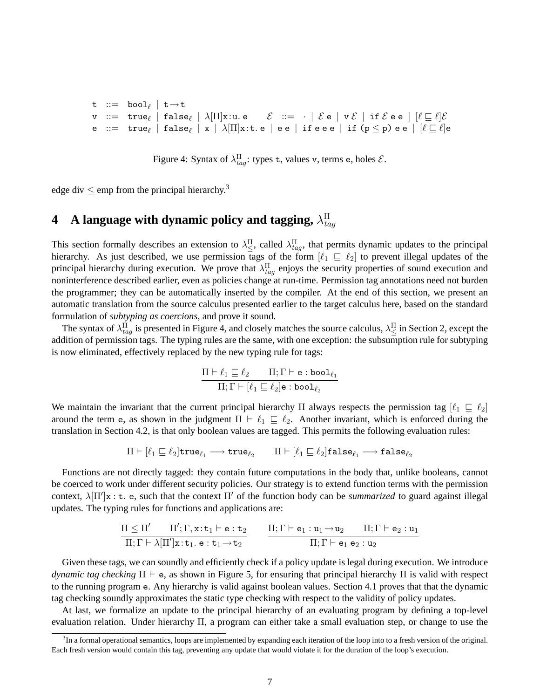$\texttt{t} \ ::=\ \ \texttt{bool}_\ell \, \mid \, \texttt{t}\!\rightarrow\!\texttt{t}$  $\begin{array}{l} {\tt v} \ := \ \ \hbox{\tt true}_\ell \ \ | \ \ \hbox{\tt false}_\ell \ \ | \ \ \lambda[\Pi] {\tt x:u.\ e} \qquad \mathcal{E} \ \ := \ \ \cdot \ \ | \ \ \mathcal{E} \ {\tt e} \ \ | \ \ {\tt v} \ \mathcal{E} \ \ | \ \ \hbox{\tt if} \ \mathcal{E} \ {\tt e} \ {\tt e} \ \ | \ \ [\ell \sqsubseteq \ell] \mathcal{E} \end{array}$ e ::= true $_\ell$  | false $_\ell$  | x |  $\lambda[\Pi]$ x:t.e | ee | if eee | if (p  $\leq$  p) ee |  $[\ell \sqsubseteq \ell]$ e

Figure 4: Syntax of  $\lambda_{tag}^{\Pi}$ : types t, values v, terms e, holes  $\mathcal{E}$ .

edge div  $\leq$  emp from the principal hierarchy.<sup>3</sup>

#### **4** A language with dynamic policy and tagging,  $\lambda_{ta}^{\Pi}$ tag

This section formally describes an extension to  $\lambda_{\leq}^{\Pi}$ , called  $\lambda_{tag}^{\Pi}$ , that permits dynamic updates to the principal hierarchy. As just described, we use permission tags of the form  $[\ell_1 \sqsubseteq \ell_2]$  to prevent illegal updates of the principal hierarchy during execution. We prove that  $\lambda_{tag}^{\Pi}$  enjoys the security properties of sound execution and noninterference described earlier, even as policies change at run-time. Permission tag annotations need not burden the programmer; they can be automatically inserted by the compiler. At the end of this section, we present an automatic translation from the source calculus presented earlier to the target calculus here, based on the standard formulation of *subtyping as coercions*, and prove it sound.

The syntax of  $\lambda_{tag}^{\Pi}$  is presented in Figure 4, and closely matches the source calculus,  $\lambda_{\leq}^{\Pi}$  in Section 2, except the addition of permission tags. The typing rules are the same, with one exception: the subsumption rule for subtyping is now eliminated, effectively replaced by the new typing rule for tags:

$$
\frac{\Pi \vdash \ell_1 \sqsubseteq \ell_2 \qquad \Pi; \Gamma \vdash \texttt{e}:\texttt{bool}_{\ell_1}}{\Pi; \Gamma \vdash [\ell_1 \sqsubseteq \ell_2]\texttt{e}:\texttt{bool}_{\ell_2}}
$$

We maintain the invariant that the current principal hierarchy Π always respects the permission tag  $[\ell_1 \sqsubseteq \ell_2]$ around the term e, as shown in the judgment  $\Pi \vdash \ell_1 \sqsubseteq \ell_2$ . Another invariant, which is enforced during the translation in Section 4.2, is that only boolean values are tagged. This permits the following evaluation rules:

$$
\Pi \vdash [\ell_1 \sqsubseteq \ell_2] \texttt{true}_{\ell_1} \longrightarrow \texttt{true}_{\ell_2} \qquad \Pi \vdash [\ell_1 \sqsubseteq \ell_2] \texttt{false}_{\ell_1} \longrightarrow \texttt{false}_{\ell_2}
$$

Functions are not directly tagged: they contain future computations in the body that, unlike booleans, cannot be coerced to work under different security policies. Our strategy is to extend function terms with the permission context,  $\lambda[\Pi']x : t$ . e, such that the context  $\Pi'$  of the function body can be *summarized* to guard against illegal updates. The typing rules for functions and applications are:

$$
\frac{\Pi \leq \Pi' \qquad \Pi'; \Gamma, \mathtt{x} : \mathtt{t}_1 \vdash \mathtt{e} : \mathtt{t}_2}{\Pi; \Gamma \vdash \lambda [\Pi'] \mathtt{x} : \mathtt{t}_1 .~ \mathtt{e} : \mathtt{t}_1 \rightarrow \mathtt{t}_2} \qquad \frac{\Pi; \Gamma \vdash \mathtt{e}_1 : \mathtt{u}_1 \rightarrow \mathtt{u}_2 \qquad \Pi; \Gamma \vdash \mathtt{e}_2 : \mathtt{u}_1}{\Pi; \Gamma \vdash \mathtt{e}_1 ~ \mathtt{e}_2 : \mathtt{u}_2}
$$

Given these tags, we can soundly and efficiently check if a policy update is legal during execution. We introduce *dynamic tag checking*  $\Pi \vdash e$ , as shown in Figure 5, for ensuring that principal hierarchy  $\Pi$  is valid with respect to the running program e. Any hierarchy is valid against boolean values. Section 4.1 proves that that the dynamic tag checking soundly approximates the static type checking with respect to the validity of policy updates.

At last, we formalize an update to the principal hierarchy of an evaluating program by defining a top-level evaluation relation. Under hierarchy Π, a program can either take a small evaluation step, or change to use the

<sup>&</sup>lt;sup>3</sup>In a formal operational semantics, loops are implemented by expanding each iteration of the loop into to a fresh version of the original. Each fresh version would contain this tag, preventing any update that would violate it for the duration of the loop's execution.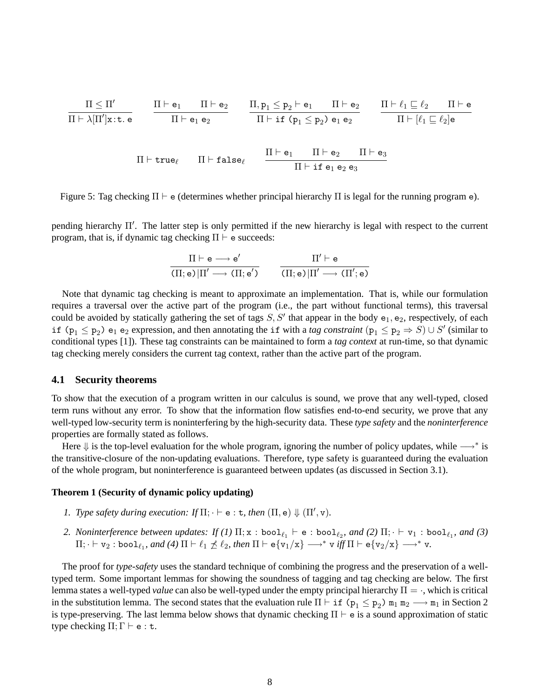$$
\begin{array}{ccc}\n\Pi \leq \Pi' & \Pi \vdash e_1 & \Pi \vdash e_2 \\
\hline\n\Pi \vdash \lambda[\Pi']x:t.e & \Pi \vdash e_1 \, e_2\n\end{array}\n\qquad\n\begin{array}{ccc}\n\Pi, p_1 \leq p_2 \vdash e_1 & \Pi \vdash e_2 \\
\hline\n\Pi \vdash \text{if } (p_1 \leq p_2) \, e_1 \, e_2\n\end{array}\n\qquad\n\begin{array}{ccc}\n\Pi \vdash \ell_1 \sqsubseteq \ell_2 & \Pi \vdash e_1 \\
\hline\n\Pi \vdash [\ell_1 \sqsubseteq \ell_2]e\n\end{array}
$$

Figure 5: Tag checking  $\Pi \vdash e$  (determines whether principal hierarchy  $\Pi$  is legal for the running program e).

pending hierarchy Π'. The latter step is only permitted if the new hierarchy is legal with respect to the current program, that is, if dynamic tag checking  $\Pi \vdash e$  succeeds:

$$
\frac{\Pi \vdash e \longrightarrow e'}{(\Pi; e) | \Pi' \longrightarrow (\Pi; e')} \qquad \frac{\Pi' \vdash e}{(\Pi; e) | \Pi' \longrightarrow (\Pi'; e)}
$$

Note that dynamic tag checking is meant to approximate an implementation. That is, while our formulation requires a traversal over the active part of the program (i.e., the part without functional terms), this traversal could be avoided by statically gathering the set of tags  $S, S'$  that appear in the body  $e_1, e_2$ , respectively, of each if  $(p_1 \leq p_2)$   $e_1$   $e_2$  expression, and then annotating the if with a *tag constraint*  $(p_1 \leq p_2 \Rightarrow S) \cup S'$  (similar to conditional types [1]). These tag constraints can be maintained to form a *tag context* at run-time, so that dynamic tag checking merely considers the current tag context, rather than the active part of the program.

#### **4.1 Security theorems**

To show that the execution of a program written in our calculus is sound, we prove that any well-typed, closed term runs without any error. To show that the information flow satisfies end-to-end security, we prove that any well-typed low-security term is noninterfering by the high-security data. These *type safety* and the *noninterference* properties are formally stated as follows.

Here  $\Downarrow$  is the top-level evaluation for the whole program, ignoring the number of policy updates, while  $\longrightarrow^*$  is the transitive-closure of the non-updating evaluations. Therefore, type safety is guaranteed during the evaluation of the whole program, but noninterference is guaranteed between updates (as discussed in Section 3.1).

### **Theorem 1 (Security of dynamic policy updating)**

- *1. Type safety during execution: If*  $\Pi$ ;  $\cdot \vdash$  e : t, then  $(\Pi, e) \Downarrow (\Pi', v)$ .
- 2. Noninterference between updates: If (1)  $\Pi; x : \text{bool}_{\ell_1} \vdash e : \text{bool}_{\ell_2}$ , and (2)  $\Pi; \cdot \vdash v_1 : \text{bool}_{\ell_1}$ , and (3)  $\Pi$ ;  $\vdash$   $v_2$  : bool<sub> $\ell_1$ </sub>, and (4)  $\Pi \vdash \ell_1 \npreceq \ell_2$ , then  $\Pi \vdash e\{v_1/x\} \longrightarrow^* v$  *iff*  $\Pi \vdash e\{v_2/x\} \longrightarrow^* v$ .

The proof for *type-safety* uses the standard technique of combining the progress and the preservation of a welltyped term. Some important lemmas for showing the soundness of tagging and tag checking are below. The first lemma states a well-typed *value* can also be well-typed under the empty principal hierarchy Π = ·, which is critical in the substitution lemma. The second states that the evaluation rule  $\Pi \vdash \texttt{if} (p_1 \leq p_2) \texttt{m}_1 \texttt{m}_2 \longrightarrow \texttt{m}_1$  in Section 2 is type-preserving. The last lemma below shows that dynamic checking  $\Pi \vdash e$  is a sound approximation of static type checking  $\Pi$ ;  $\Gamma \vdash e : t$ .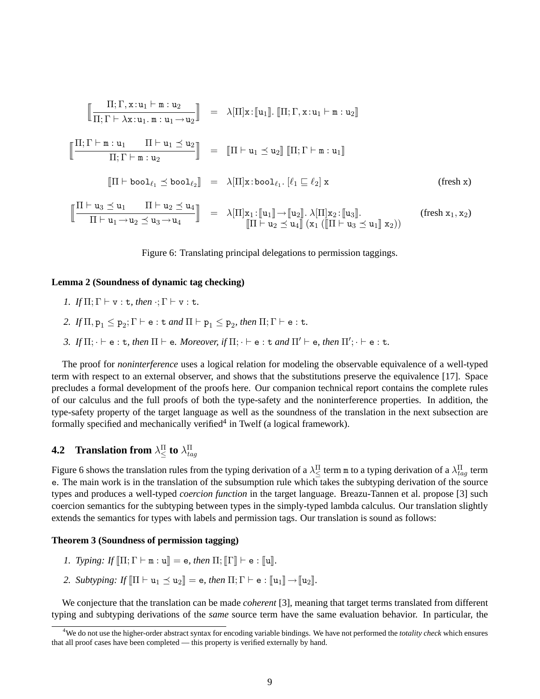r Π; Γ, x:u<sup>1</sup> ` m : u<sup>2</sup> Π; Γ ` λx:u1. m : u1→u<sup>2</sup> z <sup>=</sup> <sup>λ</sup>[Π]x: <sup>J</sup>u1K. <sup>J</sup>Π; Γ, <sup>x</sup>:u<sup>1</sup> ` <sup>m</sup> : <sup>u</sup>2<sup>K</sup> rΠ; Γ ` m : u<sup>1</sup> Π ` u<sup>1</sup> u<sup>2</sup> Π; Γ ` m : u<sup>2</sup> z <sup>=</sup> <sup>J</sup><sup>Π</sup> ` <sup>u</sup><sup>1</sup> <sup>u</sup>2K JΠ; Γ ` <sup>m</sup> : <sup>u</sup>1<sup>K</sup> <sup>J</sup><sup>Π</sup> ` bool`<sup>1</sup> bool`<sup>2</sup> <sup>K</sup> <sup>=</sup> <sup>λ</sup>[Π]x:bool`<sup>1</sup> . [`<sup>1</sup> v `2] x (fresh x) rΠ ` u<sup>3</sup> u<sup>1</sup> Π ` u<sup>2</sup> u<sup>4</sup> Π ` u1→u<sup>2</sup> u3→u<sup>4</sup> z <sup>=</sup> <sup>λ</sup>[Π]x<sup>1</sup> : <sup>J</sup>u1K→Ju2K. λ[Π]x<sup>2</sup> : <sup>J</sup>u3K. (fresh <sup>x</sup>1, <sup>x</sup>2) <sup>J</sup><sup>Π</sup> ` <sup>u</sup><sup>2</sup> <sup>u</sup>4<sup>K</sup> (x<sup>1</sup> (J<sup>Π</sup> ` <sup>u</sup><sup>3</sup> <sup>u</sup>1<sup>K</sup> <sup>x</sup>2))

Figure 6: Translating principal delegations to permission taggings.

#### **Lemma 2 (Soundness of dynamic tag checking)**

- *1. If*  $\Pi$ ;  $\Gamma \vdash v : t$ *, then*  $\cdot$ ;  $\Gamma \vdash v : t$ *.*
- 2. If  $\Pi$ ,  $p_1 \leq p_2$ ;  $\Gamma \vdash e : t$  *and*  $\Pi \vdash p_1 \leq p_2$ *, then*  $\Pi$ ;  $\Gamma \vdash e : t$ *.*
- *3.* If  $\Pi$ ;  $\cdot \vdash$  e : t, then  $\Pi \vdash$  e. Moreover, if  $\Pi$ ;  $\cdot \vdash$  e : t and  $\Pi' \vdash$  e, then  $\Pi'$ ;  $\cdot \vdash$  e : t.

The proof for *noninterference* uses a logical relation for modeling the observable equivalence of a well-typed term with respect to an external observer, and shows that the substitutions preserve the equivalence [17]. Space precludes a formal development of the proofs here. Our companion technical report contains the complete rules of our calculus and the full proofs of both the type-safety and the noninterference properties. In addition, the type-safety property of the target language as well as the soundness of the translation in the next subsection are formally specified and mechanically verified<sup>4</sup> in Twelf (a logical framework).

# **4.2** Translation from  $\lambda_{\leq}^{\Pi}$  to  $\lambda_{tag}^{\Pi}$

Figure 6 shows the translation rules from the typing derivation of a  $\lambda^{\Pi}_{\leq}$  term m to a typing derivation of a  $\lambda^{\Pi}_{tag}$  term e. The main work is in the translation of the subsumption rule which takes the subtyping derivation of the source types and produces a well-typed *coercion function* in the target language. Breazu-Tannen et al. propose [3] such coercion semantics for the subtyping between types in the simply-typed lambda calculus. Our translation slightly extends the semantics for types with labels and permission tags. Our translation is sound as follows:

#### **Theorem 3 (Soundness of permission tagging)**

- *1. Typing: If*  $[\Pi; \Gamma \vdash m : u] = e$ , then  $\Pi; [\Gamma] \vdash e : [u]$ .
- *2. Subtyping: If*  $\left[ \Pi \vdash u_1 \preceq u_2 \right] = e$ , then  $\Pi$ ;  $\Gamma \vdash e : \left[ \Vert u_1 \Vert \rightarrow \left[ \Vert u_2 \right] \right]$ .

We conjecture that the translation can be made *coherent* [3], meaning that target terms translated from different typing and subtyping derivations of the *same* source term have the same evaluation behavior. In particular, the

<sup>4</sup>We do not use the higher-order abstract syntax for encoding variable bindings. We have not performed the *totality check* which ensures that all proof cases have been completed — this property is verified externally by hand.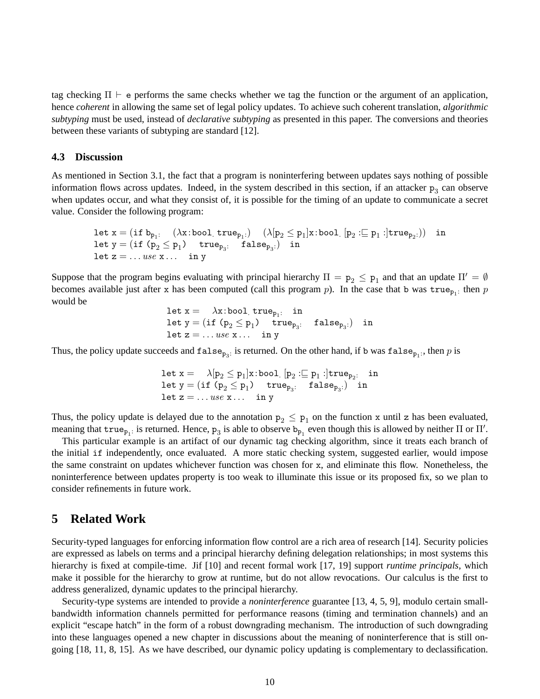tag checking  $\Pi \vdash e$  performs the same checks whether we tag the function or the argument of an application, hence *coherent* in allowing the same set of legal policy updates. To achieve such coherent translation, *algorithmic subtyping* must be used, instead of *declarative subtyping* as presented in this paper. The conversions and theories between these variants of subtyping are standard [12].

## **4.3 Discussion**

As mentioned in Section 3.1, the fact that a program is noninterfering between updates says nothing of possible information flows across updates. Indeed, in the system described in this section, if an attacker  $p_3$  can observe when updates occur, and what they consist of, it is possible for the timing of an update to communicate a secret value. Consider the following program:

let 
$$
x = (if b_{p_1}: (\lambda x : bool \text{ true}_{p_1}: ) (\lambda[p_2 \leq p_1]x : bool [p_2 := p_1 :] true_{p_2:})
$$
 in  
let  $y = (if (p_2 \leq p_1) true_{p_3}: false_{p_3:})$  in  
let  $z = ...$  use  $x ...$  in y

Suppose that the program begins evaluating with principal hierarchy  $\Pi = p_2 \leq p_1$  and that an update  $\Pi' = \emptyset$ becomes available just after x has been computed (call this program p). In the case that b was  $true_{p_1}$ : then p would be

 $\texttt{let x} = \lambda \texttt{x:bool\_true}_{p_1}: \texttt{ in}$  $\mathtt{let}\; \mathtt{y} = (\mathtt{if}\; (\mathtt{p}_2 \leq \mathtt{p}_1) \quad \mathtt{true}_{\mathtt{p}_3}: \quad \mathtt{false}_{\mathtt{p}_3:}) \;\; \mathtt{in}$ let  $z = ...$  use  $x ...$  in y

Thus, the policy update succeeds and  $\texttt{false}_{p_3}$ : is returned. On the other hand, if b was  $\texttt{false}_{p_1}$ ; then p is

let 
$$
x = \lambda[p_2 \le p_1]x:\text{bool } [p_2 := p_1 :] \text{true}_{p_2}:
$$
 in  
let  $y = (\text{if } (p_2 \le p_1) \text{ true}_{p_3}:$  false<sub>p\_3</sub>.) in  
let  $z = \dots use x \dots$  in y

Thus, the policy update is delayed due to the annotation  $p_2 \leq p_1$  on the function x until z has been evaluated, meaning that  $true_{p_1}$ : is returned. Hence,  $p_3$  is able to observe  $b_{p_1}$  even though this is allowed by neither  $\Pi$  or  $\Pi'$ .

This particular example is an artifact of our dynamic tag checking algorithm, since it treats each branch of the initial if independently, once evaluated. A more static checking system, suggested earlier, would impose the same constraint on updates whichever function was chosen for x, and eliminate this flow. Nonetheless, the noninterference between updates property is too weak to illuminate this issue or its proposed fix, so we plan to consider refinements in future work.

## **5 Related Work**

Security-typed languages for enforcing information flow control are a rich area of research [14]. Security policies are expressed as labels on terms and a principal hierarchy defining delegation relationships; in most systems this hierarchy is fixed at compile-time. Jif [10] and recent formal work [17, 19] support *runtime principals*, which make it possible for the hierarchy to grow at runtime, but do not allow revocations. Our calculus is the first to address generalized, dynamic updates to the principal hierarchy.

Security-type systems are intended to provide a *noninterference* guarantee [13, 4, 5, 9], modulo certain smallbandwidth information channels permitted for performance reasons (timing and termination channels) and an explicit "escape hatch" in the form of a robust downgrading mechanism. The introduction of such downgrading into these languages opened a new chapter in discussions about the meaning of noninterference that is still ongoing [18, 11, 8, 15]. As we have described, our dynamic policy updating is complementary to declassification.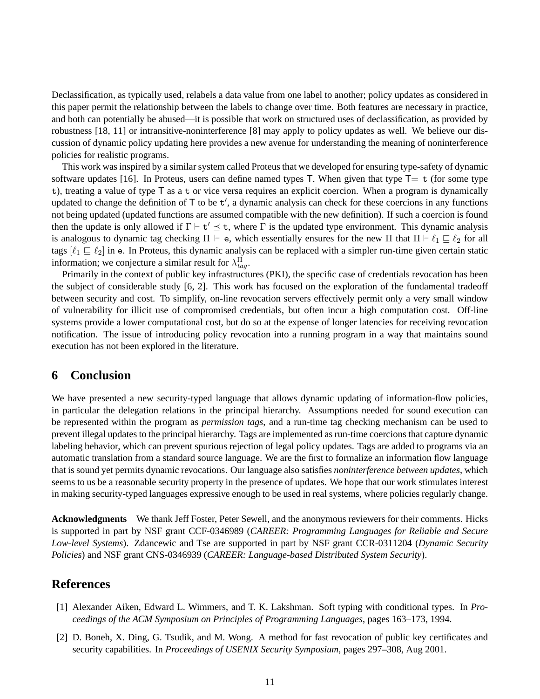Declassification, as typically used, relabels a data value from one label to another; policy updates as considered in this paper permit the relationship between the labels to change over time. Both features are necessary in practice, and both can potentially be abused—it is possible that work on structured uses of declassification, as provided by robustness [18, 11] or intransitive-noninterference [8] may apply to policy updates as well. We believe our discussion of dynamic policy updating here provides a new avenue for understanding the meaning of noninterference policies for realistic programs.

This work was inspired by a similar system called Proteus that we developed for ensuring type-safety of dynamic software updates [16]. In Proteus, users can define named types T. When given that type  $T=$  t (for some type t), treating a value of type T as a t or vice versa requires an explicit coercion. When a program is dynamically updated to change the definition of  $\mathsf T$  to be  $\mathsf t'$ , a dynamic analysis can check for these coercions in any functions not being updated (updated functions are assumed compatible with the new definition). If such a coercion is found then the update is only allowed if  $\Gamma \vdash t' \preceq t$ , where  $\Gamma$  is the updated type environment. This dynamic analysis is analogous to dynamic tag checking  $\Pi \vdash e$ , which essentially ensures for the new  $\Pi$  that  $\Pi \vdash \ell_1 \sqsubseteq \ell_2$  for all tags  $[\ell_1 \sqsubseteq \ell_2]$  in e. In Proteus, this dynamic analysis can be replaced with a simpler run-time given certain static information; we conjecture a similar result for  $\lambda^{\Pi}_{tag}$ .

Primarily in the context of public key infrastructures (PKI), the specific case of credentials revocation has been the subject of considerable study [6, 2]. This work has focused on the exploration of the fundamental tradeoff between security and cost. To simplify, on-line revocation servers effectively permit only a very small window of vulnerability for illicit use of compromised credentials, but often incur a high computation cost. Off-line systems provide a lower computational cost, but do so at the expense of longer latencies for receiving revocation notification. The issue of introducing policy revocation into a running program in a way that maintains sound execution has not been explored in the literature.

## **6 Conclusion**

We have presented a new security-typed language that allows dynamic updating of information-flow policies, in particular the delegation relations in the principal hierarchy. Assumptions needed for sound execution can be represented within the program as *permission tags*, and a run-time tag checking mechanism can be used to prevent illegal updates to the principal hierarchy. Tags are implemented as run-time coercions that capture dynamic labeling behavior, which can prevent spurious rejection of legal policy updates. Tags are added to programs via an automatic translation from a standard source language. We are the first to formalize an information flow language that is sound yet permits dynamic revocations. Our language also satisfies *noninterference between updates*, which seems to us be a reasonable security property in the presence of updates. We hope that our work stimulates interest in making security-typed languages expressive enough to be used in real systems, where policies regularly change.

**Acknowledgments** We thank Jeff Foster, Peter Sewell, and the anonymous reviewers for their comments. Hicks is supported in part by NSF grant CCF-0346989 (*CAREER: Programming Languages for Reliable and Secure Low-level Systems*). Zdancewic and Tse are supported in part by NSF grant CCR-0311204 (*Dynamic Security Policies*) and NSF grant CNS-0346939 (*CAREER: Language-based Distributed System Security*).

# **References**

- [1] Alexander Aiken, Edward L. Wimmers, and T. K. Lakshman. Soft typing with conditional types. In *Proceedings of the ACM Symposium on Principles of Programming Languages*, pages 163–173, 1994.
- [2] D. Boneh, X. Ding, G. Tsudik, and M. Wong. A method for fast revocation of public key certificates and security capabilities. In *Proceedings of USENIX Security Symposium*, pages 297–308, Aug 2001.